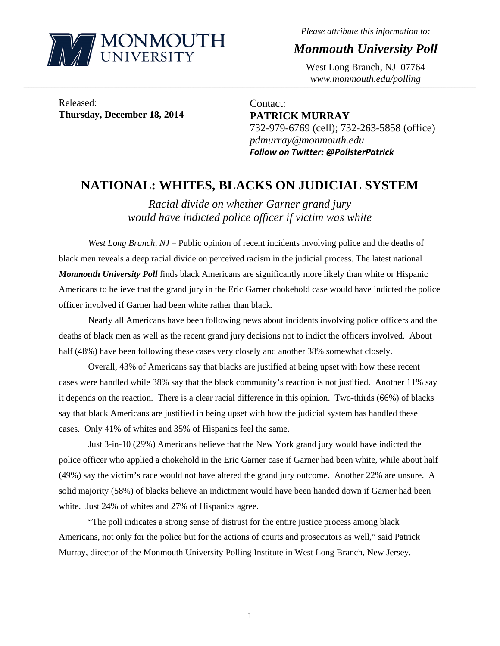

*Please attribute this information to:* 

*Monmouth University Poll* 

West Long Branch, NJ 07764 *www.monmouth.edu/polling* 

Released: **Thursday, December 18, 2014** 

Contact: **PATRICK MURRAY**  732-979-6769 (cell); 732-263-5858 (office) *pdmurray@monmouth.edu Follow on Twitter: @PollsterPatrick*

## **NATIONAL: WHITES, BLACKS ON JUDICIAL SYSTEM**

,一个人的人都是不是,我们的人都是不是,我们的人都是不是,我们的人都是不是,我们的人都是不是,我们的人都是不是,我们的人都是不是,我们的人都是不是,我们的人都是不

*Racial divide on whether Garner grand jury would have indicted police officer if victim was white* 

*West Long Branch, NJ* – Public opinion of recent incidents involving police and the deaths of black men reveals a deep racial divide on perceived racism in the judicial process. The latest national *Monmouth University Poll* finds black Americans are significantly more likely than white or Hispanic Americans to believe that the grand jury in the Eric Garner chokehold case would have indicted the police officer involved if Garner had been white rather than black.

 Nearly all Americans have been following news about incidents involving police officers and the deaths of black men as well as the recent grand jury decisions not to indict the officers involved. About half (48%) have been following these cases very closely and another 38% somewhat closely.

 Overall, 43% of Americans say that blacks are justified at being upset with how these recent cases were handled while 38% say that the black community's reaction is not justified. Another 11% say it depends on the reaction. There is a clear racial difference in this opinion. Two-thirds (66%) of blacks say that black Americans are justified in being upset with how the judicial system has handled these cases. Only 41% of whites and 35% of Hispanics feel the same.

 Just 3-in-10 (29%) Americans believe that the New York grand jury would have indicted the police officer who applied a chokehold in the Eric Garner case if Garner had been white, while about half (49%) say the victim's race would not have altered the grand jury outcome. Another 22% are unsure. A solid majority (58%) of blacks believe an indictment would have been handed down if Garner had been white. Just 24% of whites and 27% of Hispanics agree.

 "The poll indicates a strong sense of distrust for the entire justice process among black Americans, not only for the police but for the actions of courts and prosecutors as well," said Patrick Murray, director of the Monmouth University Polling Institute in West Long Branch, New Jersey.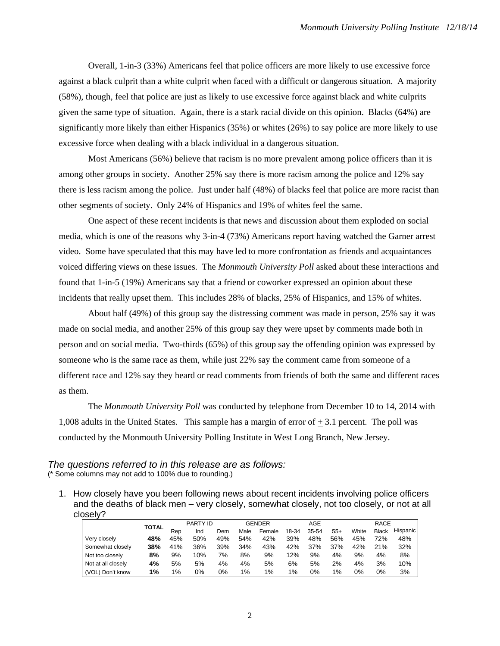Overall, 1-in-3 (33%) Americans feel that police officers are more likely to use excessive force against a black culprit than a white culprit when faced with a difficult or dangerous situation. A majority (58%), though, feel that police are just as likely to use excessive force against black and white culprits given the same type of situation. Again, there is a stark racial divide on this opinion. Blacks (64%) are significantly more likely than either Hispanics (35%) or whites (26%) to say police are more likely to use excessive force when dealing with a black individual in a dangerous situation.

 Most Americans (56%) believe that racism is no more prevalent among police officers than it is among other groups in society. Another 25% say there is more racism among the police and 12% say there is less racism among the police. Just under half (48%) of blacks feel that police are more racist than other segments of society. Only 24% of Hispanics and 19% of whites feel the same.

 One aspect of these recent incidents is that news and discussion about them exploded on social media, which is one of the reasons why 3-in-4 (73%) Americans report having watched the Garner arrest video. Some have speculated that this may have led to more confrontation as friends and acquaintances voiced differing views on these issues. The *Monmouth University Poll* asked about these interactions and found that 1-in-5 (19%) Americans say that a friend or coworker expressed an opinion about these incidents that really upset them. This includes 28% of blacks, 25% of Hispanics, and 15% of whites.

 About half (49%) of this group say the distressing comment was made in person, 25% say it was made on social media, and another 25% of this group say they were upset by comments made both in person and on social media. Two-thirds (65%) of this group say the offending opinion was expressed by someone who is the same race as them, while just 22% say the comment came from someone of a different race and 12% say they heard or read comments from friends of both the same and different races as them.

The *Monmouth University Poll* was conducted by telephone from December 10 to 14, 2014 with 1,008 adults in the United States. This sample has a margin of error of + 3.1 percent. The poll was conducted by the Monmouth University Polling Institute in West Long Branch, New Jersey.

*The questions referred to in this release are as follows:*  (\* Some columns may not add to 100% due to rounding.)

1. How closely have you been following news about recent incidents involving police officers and the deaths of black men – very closely, somewhat closely, not too closely, or not at all closely?

|                    |              |     | <b>PARTY ID</b> |     |       | GENDER |       | AGE   |       |       | RACE  |                 |
|--------------------|--------------|-----|-----------------|-----|-------|--------|-------|-------|-------|-------|-------|-----------------|
|                    | <b>TOTAL</b> | Rep | Ind             | Dem | Male  | Female | 18-34 | 35-54 | $55+$ | White | Black | <b>Hispanic</b> |
| Very closely       | 48%          | 45% | 50%             | 49% | 54%   | 42%    | 39%   | 48%   | 56%   | 45%   | 72%   | 48%             |
| Somewhat closely   | 38%          | 41% | 36%             | 39% | 34%   | 43%    | 42%   | 37%   | 37%   | 42%   | 21%   | 32%             |
| Not too closelv    | 8%           | 9%  | 10%             | 7%  | 8%    | 9%     | 12%   | 9%    | 4%    | 9%    | 4%    | 8%              |
| Not at all closely | 4%           | 5%  | 5%              | 4%  | 4%    | 5%     | 6%    | 5%    | 2%    | 4%    | 3%    | 10%             |
| (VOL) Don't know   | 1%           | 1%  | 0%              | 0%  | $1\%$ | 1%     | 1%    | 0%    | 1%    | 0%    | 0%    | 3%              |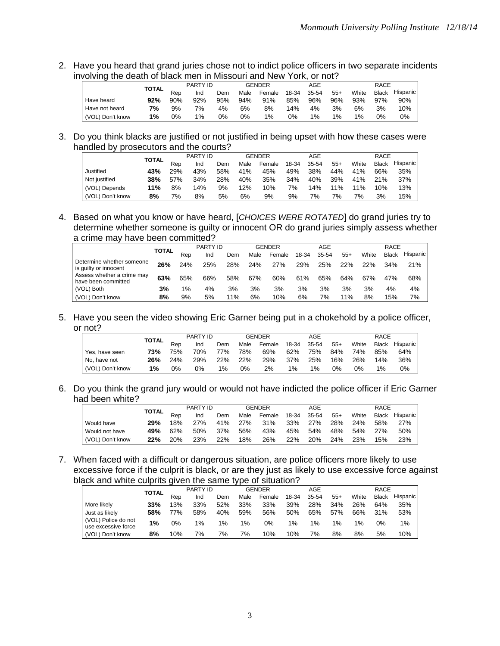2. Have you heard that grand juries chose not to indict police officers in two separate incidents involving the death of black men in Missouri and New York, or not?

|                  | <b>TOTAL</b> |     | <b>PARTY ID</b> |     |      | GENDER |       | AGE   |       |       | <b>RACE</b>  |          |
|------------------|--------------|-----|-----------------|-----|------|--------|-------|-------|-------|-------|--------------|----------|
|                  |              | Rep | Ind             | Dem | Male | Female | 18-34 | 35-54 | $55+$ | White | <b>Black</b> | Hispanic |
| Have heard       | 92%          | 90% | 92%             | 95% | 94%  | 91%    | 85%   | 96%   | 96%   | 93%   | 97%          | 90%      |
| Have not heard   | 7%           | 9%  | 7%              | 4%  | 6%   | 8%     | 14%   | 4%    | 3%    | 6%    | 3%           | 10%      |
| (VOL) Don't know | 1%           | 0%  | $1\%$           | 0%  | 0%   | 1%     | 0%    | 1%    | $1\%$ | 1%    | 0%           | 0%       |

3. Do you think blacks are justified or not justified in being upset with how these cases were handled by prosecutors and the courts?

|                  |              |     | <b>PARTY ID</b> |     |      | GENDER |       | AGE   |        |       | <b>RACE</b>  |          |
|------------------|--------------|-----|-----------------|-----|------|--------|-------|-------|--------|-------|--------------|----------|
|                  | <b>TOTAL</b> | Rep | Ind             | Dem | Male | Female | 18-34 | 35-54 | $55+$  | White | <b>Black</b> | Hispanic |
| Justified        | 43%          | 29% | 43%             | 58% | 41%  | 45%    | 49%   | 38%   | 44%    | 41%   | 66%          | 35%      |
| Not iustified    | 38%          | 57% | 34%             | 28% | 40%  | 35%    | 34%   | 40%   | 39%    | 41%   | 21%          | 37%      |
| (VOL) Depends    | 11%          | 8%  | 14%             | 9%  | 12%  | 10%    | 7%    | 14%   | $11\%$ | 11%   | 10%          | 13%      |
| (VOL) Don't know | 8%           | 7%  | 8%              | 5%  | 6%   | 9%     | 9%    | 7%    | 7%     | 7%    | 3%           | 15%      |

4. Based on what you know or have heard, [*CHOICES WERE ROTATED*] do grand juries try to determine whether someone is guilty or innocent OR do grand juries simply assess whether a crime may have been committed?

|                                                    |       |     | <b>PARTY ID</b> |     |      | <b>GENDER</b> |       | AGE   |       |       | <b>RACE</b>  |          |
|----------------------------------------------------|-------|-----|-----------------|-----|------|---------------|-------|-------|-------|-------|--------------|----------|
|                                                    | TOTAL | Rep | Ind             | Dem | Male | Female        | 18-34 | 35-54 | $55+$ | White | <b>Black</b> | Hispanic |
| Determine whether someone<br>is quilty or innocent | 26%   | 24% | 25%             | 28% | 24%  | 27%           | 29%   | 25%   | 22%   | 22%   | 34%          | 21%      |
| Assess whether a crime may<br>have been committed  | 63%   | 65% | 66%             | 58% | 67%  | 60%           | 61%   | 65%   | 64%   | 67%   | 47%          | 68%      |
| (VOL) Both                                         | 3%    | 1%  | 4%              | 3%  | 3%   | 3%            | 3%    | 3%    | 3%    | 3%    | 4%           | 4%       |
| (VOL) Don't know                                   | 8%    | 9%  | 5%              | 11% | 6%   | 10%           | 6%    | 7%    | 11%   | 8%    | 15%          | 7%       |

5. Have you seen the video showing Eric Garner being put in a chokehold by a police officer, or not?

|                  | <b>TOTAL</b> |     | <b>PARTY ID</b> |     |      | <b>GENDER</b> |       | AGE   |       |       | RACE         |            |
|------------------|--------------|-----|-----------------|-----|------|---------------|-------|-------|-------|-------|--------------|------------|
|                  |              | Rep | Ind             | Dem | Male | Female        | 18-34 | 35-54 | $55+$ | White | <b>Black</b> | Hispanic I |
| Yes, have seen   | 73%          | 75% | 70%             | 77% | 78%  | 69%           | 62%   | 75%   | 84%   | 74%   | 85%          | 64%        |
| No. have not     | 26%          | 24% | 29%             | 22% | 22%  | 29%           | 37%   | 25%   | 16%   | 26%   | 14%          | 36%        |
| (VOL) Don't know | 1%           | 0%  | 0%              | 1%  | 0%   | 2%            | $1\%$ | 1%    | 0%    | 0%    | 1%           | 0%         |

6. Do you think the grand jury would or would not have indicted the police officer if Eric Garner had been white?

|                  |              |     | <b>PARTY ID</b> |     |      | <b>GENDER</b> |       | AGE   |       |       | <b>RACE</b>  |          |
|------------------|--------------|-----|-----------------|-----|------|---------------|-------|-------|-------|-------|--------------|----------|
|                  | <b>TOTAL</b> | Rep | Ind             | Dem | Male | Female        | 18-34 | 35-54 | $55+$ | White | <b>Black</b> | Hispanic |
| Would have       | 29%          | 18% | 27%             | 41% | 27%  | 31%           | 33%   | 27%   | 28%   | 24%   | 58%          | 27%      |
| Would not have   | 49%          | 62% | 50%             | 37% | 56%  | 43%           | 45%   | 54%   | 48%   | 54%   | 27%          | 50%      |
| (VOL) Don't know | 22%          | 20% | 23%             | 22% | 18%  | 26%           | 22%   | 20%   | 24%   | 23%   | 15%          | 23%      |

7. When faced with a difficult or dangerous situation, are police officers more likely to use excessive force if the culprit is black, or are they just as likely to use excessive force against black and white culprits given the same type of situation?

|                                            | <b>TOTAL</b> |     | <b>PARTY ID</b> |     |       | GENDER |       | AGE   |       |       | RACE  |                 |
|--------------------------------------------|--------------|-----|-----------------|-----|-------|--------|-------|-------|-------|-------|-------|-----------------|
|                                            |              | Rep | Ind             | Dem | Male  | Female | 18-34 | 35-54 | $55+$ | White | Black | <b>Hispanic</b> |
| More likely                                | 33%          | 13% | 33%             | 52% | 33%   | 33%    | 39%   | 28%   | 34%   | 26%   | 64%   | 35%             |
| Just as likely                             | 58%          | 77% | 58%             | 40% | 59%   | 56%    | 50%   | 65%   | 57%   | 66%   | 31%   | 53%             |
| (VOL) Police do not<br>use excessive force | $1\%$        | 0%  | $1\%$           | 1%  | $1\%$ | 0%     | $1\%$ | $1\%$ | $1\%$ | $1\%$ | 0%    | $1\%$           |
| (VOL) Don't know                           | 8%           | 10% | 7%              | 7%  | 7%    | 10%    | 10%   | 7%    | 8%    | 8%    | 5%    | 10%             |